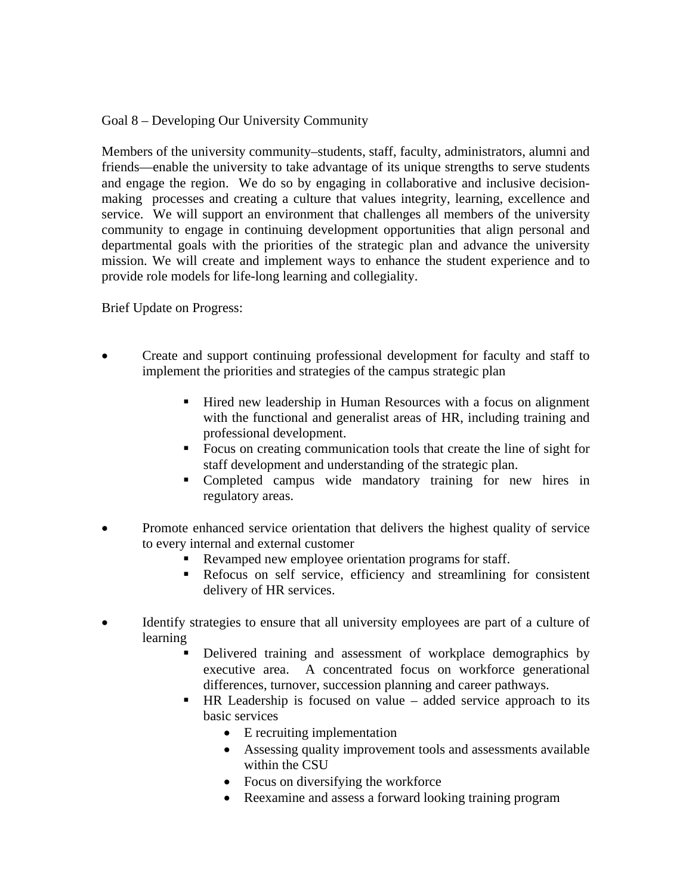Goal 8 – Developing Our University Community

Members of the university community–students, staff, faculty, administrators, alumni and friends—enable the university to take advantage of its unique strengths to serve students and engage the region. We do so by engaging in collaborative and inclusive decisionmaking processes and creating a culture that values integrity, learning, excellence and service. We will support an environment that challenges all members of the university community to engage in continuing development opportunities that align personal and departmental goals with the priorities of the strategic plan and advance the university mission. We will create and implement ways to enhance the student experience and to provide role models for life-long learning and collegiality.

Brief Update on Progress:

- Create and support continuing professional development for faculty and staff to implement the priorities and strategies of the campus strategic plan
	- Hired new leadership in Human Resources with a focus on alignment with the functional and generalist areas of HR, including training and professional development.
	- Focus on creating communication tools that create the line of sight for staff development and understanding of the strategic plan.
	- Completed campus wide mandatory training for new hires in regulatory areas.
- Promote enhanced service orientation that delivers the highest quality of service to every internal and external customer
	- Revamped new employee orientation programs for staff.
	- Refocus on self service, efficiency and streamlining for consistent delivery of HR services.
- Identify strategies to ensure that all university employees are part of a culture of learning
	- Delivered training and assessment of workplace demographics by executive area. A concentrated focus on workforce generational differences, turnover, succession planning and career pathways.
	- HR Leadership is focused on value added service approach to its basic services
		- E recruiting implementation
		- Assessing quality improvement tools and assessments available within the CSU
		- Focus on diversifying the workforce
		- Reexamine and assess a forward looking training program